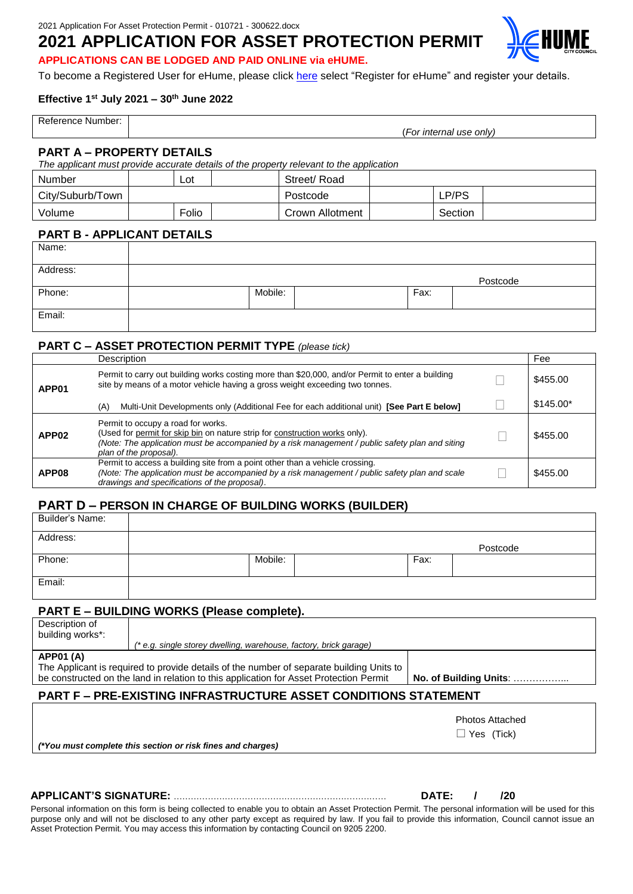# **2021 APPLICATION FOR ASSET PROTECTION PERMIT**



**APPLICATIONS CAN BE LODGED AND PAID ONLINE via eHUME.**

To become a Registered User for eHume, please click [here](https://www.hume.vic.gov.au/Building-and-Planning/Building-and-Planning-Services/Submit-a-Building-or-Planning-Application) select "Register for eHume" and register your details.

#### **Effective 1st July 2021 – 30th June 2022**

| Ref∈<br>. Number <sup>.</sup><br>rence |                                         |
|----------------------------------------|-----------------------------------------|
|                                        | $ -$<br>'ernal use only)<br>זר<br>ınter |

#### **PART A – PROPERTY DETAILS**

*The applicant must provide accurate details of the property relevant to the application*

| Number           | Lot   | Street/ Road    |         |  |
|------------------|-------|-----------------|---------|--|
| City/Suburb/Town |       | Postcode        | LP/PS   |  |
| Volume           | Folio | Crown Allotment | Section |  |

#### **PART B - APPLICANT DETAILS**

| Name:    |         |      |          |
|----------|---------|------|----------|
| Address: |         |      | Postcode |
| Phone:   | Mobile: | Fax: |          |
| Email:   |         |      |          |

## **PART C – ASSET PROTECTION PERMIT TYPE** *(please tick)*

|                   | Description                                                                                                                                                                                                                                    | Fee        |
|-------------------|------------------------------------------------------------------------------------------------------------------------------------------------------------------------------------------------------------------------------------------------|------------|
| APP01             | Permit to carry out building works costing more than \$20,000, and/or Permit to enter a building<br>site by means of a motor vehicle having a gross weight exceeding two tonnes.                                                               | \$455.00   |
|                   | Multi-Unit Developments only (Additional Fee for each additional unit) [See Part E below]<br>(A)                                                                                                                                               | $$145.00*$ |
| APP <sub>02</sub> | Permit to occupy a road for works.<br>(Used for permit for skip bin on nature strip for construction works only).<br>(Note: The application must be accompanied by a risk management / public safety plan and siting<br>plan of the proposal). | \$455.00   |
| APP08             | Permit to access a building site from a point other than a vehicle crossing.<br>(Note: The application must be accompanied by a risk management / public safety plan and scale<br>drawings and specifications of the proposal).                | \$455.00   |

# **PART D – PERSON IN CHARGE OF BUILDING WORKS (BUILDER)**

| Builder's Name: |         |      |          |
|-----------------|---------|------|----------|
| Address:        |         |      | Postcode |
| Phone:          | Mobile: | Fax: |          |
| Email:          |         |      |          |

## **PART E – BUILDING WORKS (Please complete).**

| Description of                                                                           |                        |  |  |
|------------------------------------------------------------------------------------------|------------------------|--|--|
| building works*:                                                                         |                        |  |  |
| (* e.g. single storey dwelling, warehouse, factory, brick garage)                        |                        |  |  |
| <b>APP01 (A)</b>                                                                         |                        |  |  |
| The Applicant is required to provide details of the number of separate building Units to |                        |  |  |
| be constructed on the land in relation to this application for Asset Protection Permit   | No. of Building Units: |  |  |
|                                                                                          |                        |  |  |

# **PART F – PRE-EXISTING INFRASTRUCTURE ASSET CONDITIONS STATEMENT**

|                                                             | <b>Photos Attached</b> |
|-------------------------------------------------------------|------------------------|
|                                                             | $\Box$ Yes (Tick)      |
| (*You must complete this section or risk fines and charges) |                        |
|                                                             |                        |

# **APPLICANT'S SIGNATURE:** ………………………………………………………………… **DATE: / /20**

Personal information on this form is being collected to enable you to obtain an Asset Protection Permit. The personal information will be used for this purpose only and will not be disclosed to any other party except as required by law. If you fail to provide this information, Council cannot issue an Asset Protection Permit. You may access this information by contacting Council on 9205 2200.